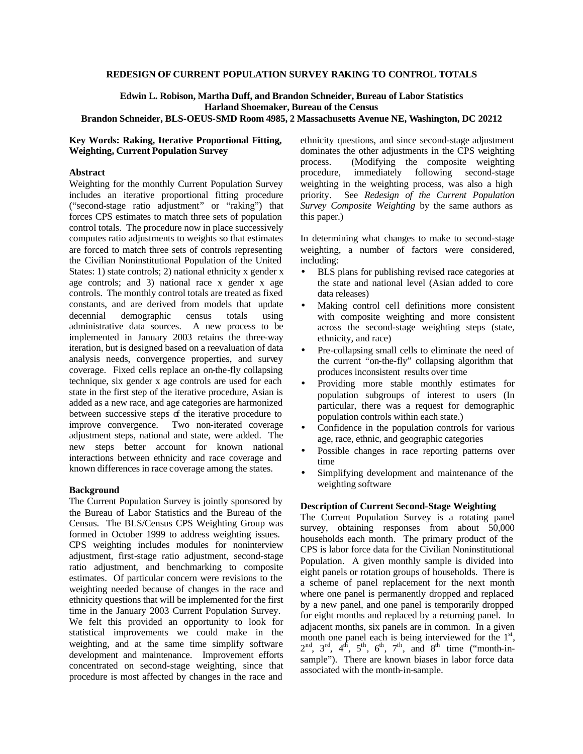### **REDESIGN OF CURRENT POPULATION SURVEY RAKING TO CONTROL TOTALS**

**Edwin L. Robison, Martha Duff, and Brandon Schneider, Bureau of Labor Statistics Harland Shoemaker, Bureau of the Census**

# **Brandon Schneider, BLS-OEUS-SMD Room 4985, 2 Massachusetts Avenue NE, Washington, DC 20212**

## **Key Words: Raking, Iterative Proportional Fitting, Weighting, Current Population Survey**

## **Abstract**

Weighting for the monthly Current Population Survey includes an iterative proportional fitting procedure ("second-stage ratio adjustment" or "raking") that forces CPS estimates to match three sets of population control totals. The procedure now in place successively computes ratio adjustments to weights so that estimates are forced to match three sets of controls representing the Civilian Noninstitutional Population of the United States: 1) state controls; 2) national ethnicity x gender x age controls; and 3) national race x gender x age controls. The monthly control totals are treated as fixed constants, and are derived from models that update decennial demographic census totals using administrative data sources. A new process to be implemented in January 2003 retains the three-way iteration, but is designed based on a reevaluation of data analysis needs, convergence properties, and survey coverage. Fixed cells replace an on-the-fly collapsing technique, six gender x age controls are used for each state in the first step of the iterative procedure, Asian is added as a new race, and age categories are harmonized between successive steps of the iterative procedure to improve convergence. Two non-iterated coverage adjustment steps, national and state, were added. The new steps better account for known national interactions between ethnicity and race coverage and known differences in race coverage among the states.

#### **Background**

The Current Population Survey is jointly sponsored by the Bureau of Labor Statistics and the Bureau of the Census. The BLS/Census CPS Weighting Group was formed in October 1999 to address weighting issues. CPS weighting includes modules for noninterview adjustment, first-stage ratio adjustment, second-stage ratio adjustment, and benchmarking to composite estimates. Of particular concern were revisions to the weighting needed because of changes in the race and ethnicity questions that will be implemented for the first time in the January 2003 Current Population Survey. We felt this provided an opportunity to look for statistical improvements we could make in the weighting, and at the same time simplify software development and maintenance. Improvement efforts concentrated on second-stage weighting, since that procedure is most affected by changes in the race and

ethnicity questions, and since second-stage adjustment dominates the other adjustments in the CPS weighting process. (Modifying the composite weighting procedure, immediately following second-stage weighting in the weighting process, was also a high priority. See *Redesign of the Current Population Survey Composite Weighting* by the same authors as this paper.)

In determining what changes to make to second-stage weighting, a number of factors were considered, including:

- BLS plans for publishing revised race categories at the state and national level (Asian added to core data releases)
- Making control cell definitions more consistent with composite weighting and more consistent across the second-stage weighting steps (state, ethnicity, and race)
- Pre-collapsing small cells to eliminate the need of the current "on-the-fly" collapsing algorithm that produces inconsistent results over time
- Providing more stable monthly estimates for population subgroups of interest to users (In particular, there was a request for demographic population controls within each state.)
- Confidence in the population controls for various age, race, ethnic, and geographic categories
- Possible changes in race reporting patterns over time
- Simplifying development and maintenance of the weighting software

### **Description of Current Second-Stage Weighting**

The Current Population Survey is a rotating panel survey, obtaining responses from about 50,000 households each month. The primary product of the CPS is labor force data for the Civilian Noninstitutional Population. A given monthly sample is divided into eight panels or rotation groups of households. There is a scheme of panel replacement for the next month where one panel is permanently dropped and replaced by a new panel, and one panel is temporarily dropped for eight months and replaced by a returning panel. In adjacent months, six panels are in common. In a given month one panel each is being interviewed for the  $1<sup>st</sup>$ ,  $2<sup>nd</sup>$ ,  $3<sup>rd</sup>$ ,  $4<sup>th</sup>$ ,  $5<sup>th</sup>$ ,  $6<sup>th</sup>$ ,  $7<sup>th</sup>$ , and  $8<sup>th</sup>$  time ("month-insample"). There are known biases in labor force data associated with the month-in-sample.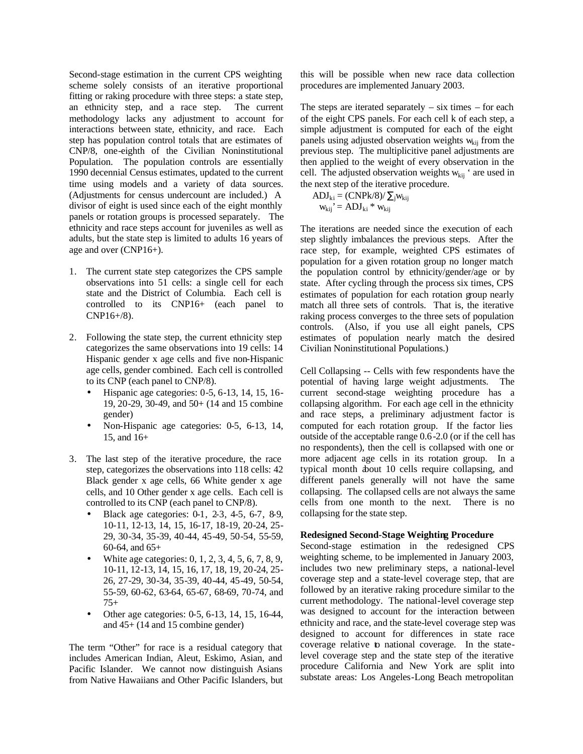Second-stage estimation in the current CPS weighting scheme solely consists of an iterative proportional fitting or raking procedure with three steps: a state step, an ethnicity step, and a race step. The current methodology lacks any adjustment to account for interactions between state, ethnicity, and race. Each step has population control totals that are estimates of CNP/8, one-eighth of the Civilian Noninstitutional Population. The population controls are essentially 1990 decennial Census estimates, updated to the current time using models and a variety of data sources. (Adjustments for census undercount are included.) A divisor of eight is used since each of the eight monthly panels or rotation groups is processed separately. The ethnicity and race steps account for juveniles as well as adults, but the state step is limited to adults 16 years of age and over (CNP16+).

- 1. The current state step categorizes the CPS sample observations into 51 cells: a single cell for each state and the District of Columbia. Each cell is controlled to its CNP16+ (each panel to CNP16+/8).
- 2. Following the state step, the current ethnicity step categorizes the same observations into 19 cells: 14 Hispanic gender x age cells and five non-Hispanic age cells, gender combined. Each cell is controlled to its CNP (each panel to CNP/8).
	- Hispanic age categories:  $0-5$ ,  $6-13$ ,  $14$ ,  $15$ ,  $16-$ 19, 20-29, 30-49, and 50+ (14 and 15 combine gender)
	- Non-Hispanic age categories: 0-5, 6-13, 14, 15, and 16+
- 3. The last step of the iterative procedure, the race step, categorizes the observations into 118 cells: 42 Black gender x age cells, 66 White gender x age cells, and 10 Other gender x age cells. Each cell is controlled to its CNP (each panel to CNP/8).
	- Black age categories: 0-1, 2-3, 4-5, 6-7, 8-9, 10-11, 12-13, 14, 15, 16-17, 18-19, 20-24, 25- 29, 30-34, 35-39, 40-44, 45-49, 50-54, 55-59, 60-64, and 65+
	- White age categories: 0, 1, 2, 3, 4, 5, 6, 7, 8, 9, 10-11, 12-13, 14, 15, 16, 17, 18, 19, 20-24, 25- 26, 27-29, 30-34, 35-39, 40-44, 45-49, 50-54, 55-59, 60-62, 63-64, 65-67, 68-69, 70-74, and 75+
	- Other age categories: 0-5, 6-13, 14, 15, 16-44, and 45+ (14 and 15 combine gender)

The term "Other" for race is a residual category that includes American Indian, Aleut, Eskimo, Asian, and Pacific Islander. We cannot now distinguish Asians from Native Hawaiians and Other Pacific Islanders, but this will be possible when new race data collection procedures are implemented January 2003.

The steps are iterated separately  $-$  six times  $-$  for each of the eight CPS panels. For each cell k of each step, a simple adjustment is computed for each of the eight panels using adjusted observation weights  $w_{kij}$  from the previous step. The multiplicitive panel adjustments are then applied to the weight of every observation in the cell. The adjusted observation weights  $w_{kii}$  ' are used in the next step of the iterative procedure.

$$
ADJ_{ki} = (CNPk/8)/\sum_{j} w_{kij}
$$

$$
w_{kij} = ADJ_{ki} * w_{kij}
$$

The iterations are needed since the execution of each step slightly imbalances the previous steps. After the race step, for example, weighted CPS estimates of population for a given rotation group no longer match the population control by ethnicity/gender/age or by state. After cycling through the process six times, CPS estimates of population for each rotation group nearly match all three sets of controls. That is, the iterative raking process converges to the three sets of population controls. (Also, if you use all eight panels, CPS estimates of population nearly match the desired Civilian Noninstitutional Populations.)

Cell Collapsing -- Cells with few respondents have the potential of having large weight adjustments. The current second-stage weighting procedure has a collapsing algorithm. For each age cell in the ethnicity and race steps, a preliminary adjustment factor is computed for each rotation group. If the factor lies outside of the acceptable range 0.6-2.0 (or if the cell has no respondents), then the cell is collapsed with one or more adjacent age cells in its rotation group. In a typical month about 10 cells require collapsing, and different panels generally will not have the same collapsing. The collapsed cells are not always the same cells from one month to the next. There is no collapsing for the state step.

## **Redesigned Second-Stage Weighting Procedure**

Second-stage estimation in the redesigned CPS weighting scheme, to be implemented in January 2003, includes two new preliminary steps, a national-level coverage step and a state-level coverage step, that are followed by an iterative raking procedure similar to the current methodology. The national-level coverage step was designed to account for the interaction between ethnicity and race, and the state-level coverage step was designed to account for differences in state race coverage relative to national coverage. In the statelevel coverage step and the state step of the iterative procedure California and New York are split into substate areas: Los Angeles-Long Beach metropolitan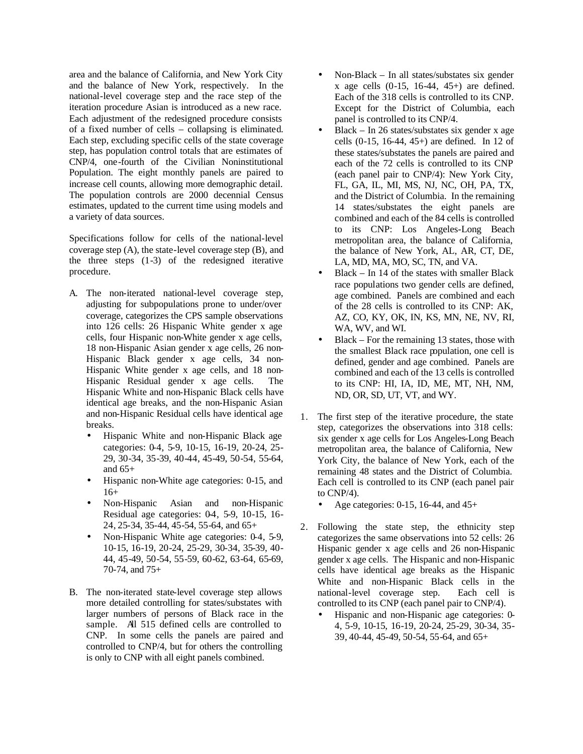area and the balance of California, and New York City and the balance of New York, respectively. In the national-level coverage step and the race step of the iteration procedure Asian is introduced as a new race. Each adjustment of the redesigned procedure consists of a fixed number of cells – collapsing is eliminated. Each step, excluding specific cells of the state coverage step, has population control totals that are estimates of CNP/4, one-fourth of the Civilian Noninstitutional Population. The eight monthly panels are paired to increase cell counts, allowing more demographic detail. The population controls are 2000 decennial Census estimates, updated to the current time using models and a variety of data sources.

Specifications follow for cells of the national-level coverage step (A), the state-level coverage step (B), and the three steps (1-3) of the redesigned iterative procedure.

- A. The non-iterated national-level coverage step, adjusting for subpopulations prone to under/over coverage, categorizes the CPS sample observations into 126 cells: 26 Hispanic White gender x age cells, four Hispanic non-White gender x age cells, 18 non-Hispanic Asian gender x age cells, 26 non-Hispanic Black gender x age cells, 34 non-Hispanic White gender x age cells, and 18 non-Hispanic Residual gender x age cells. The Hispanic White and non-Hispanic Black cells have identical age breaks, and the non-Hispanic Asian and non-Hispanic Residual cells have identical age breaks.
	- Hispanic White and non-Hispanic Black age categories: 0-4, 5-9, 10-15, 16-19, 20-24, 25- 29, 30-34, 35-39, 40-44, 45-49, 50-54, 55-64, and  $65+$
	- Hispanic non-White age categories: 0-15, and 16+
	- Non-Hispanic Asian and non-Hispanic Residual age categories: 04, 5-9, 10-15, 16-24, 25-34, 35-44, 45-54, 55-64, and 65+
	- Non-Hispanic White age categories: 0-4, 5-9, 10-15, 16-19, 20-24, 25-29, 30-34, 35-39, 40- 44, 45-49, 50-54, 55-59, 60-62, 63-64, 65-69, 70-74, and 75+
- B. The non-iterated state-level coverage step allows more detailed controlling for states/substates with larger numbers of persons of Black race in the sample. All 515 defined cells are controlled to CNP. In some cells the panels are paired and controlled to CNP/4, but for others the controlling is only to CNP with all eight panels combined.
- Non-Black In all states/substates six gender x age cells (0-15, 16-44, 45+) are defined. Each of the 318 cells is controlled to its CNP. Except for the District of Columbia, each panel is controlled to its CNP/4.
- Black In 26 states/substates six gender x age cells (0-15, 16-44, 45+) are defined. In 12 of these states/substates the panels are paired and each of the 72 cells is controlled to its CNP (each panel pair to CNP/4): New York City, FL, GA, IL, MI, MS, NJ, NC, OH, PA, TX, and the District of Columbia. In the remaining 14 states/substates the eight panels are combined and each of the 84 cells is controlled to its CNP: Los Angeles-Long Beach metropolitan area, the balance of California, the balance of New York, AL, AR, CT, DE, LA, MD, MA, MO, SC, TN, and VA.
- Black In 14 of the states with smaller Black race populations two gender cells are defined, age combined. Panels are combined and each of the 28 cells is controlled to its CNP: AK, AZ, CO, KY, OK, IN, KS, MN, NE, NV, RI, WA, WV, and WI.
- Black For the remaining 13 states, those with the smallest Black race population, one cell is defined, gender and age combined. Panels are combined and each of the 13 cells is controlled to its CNP: HI, IA, ID, ME, MT, NH, NM, ND, OR, SD, UT, VT, and WY.
- 1. The first step of the iterative procedure, the state step, categorizes the observations into 318 cells: six gender x age cells for Los Angeles-Long Beach metropolitan area, the balance of California, New York City, the balance of New York, each of the remaining 48 states and the District of Columbia. Each cell is controlled to its CNP (each panel pair to CNP/4).
	- Age categories: 0-15, 16-44, and 45+
- 2. Following the state step, the ethnicity step categorizes the same observations into 52 cells: 26 Hispanic gender x age cells and 26 non-Hispanic gender x age cells. The Hispanic and non-Hispanic cells have identical age breaks as the Hispanic White and non-Hispanic Black cells in the national-level coverage step. Each cell is controlled to its CNP (each panel pair to CNP/4).
	- Hispanic and non-Hispanic age categories: 0- 4, 5-9, 10-15, 16-19, 20-24, 25-29, 30-34, 35- 39, 40-44, 45-49, 50-54, 55-64, and 65+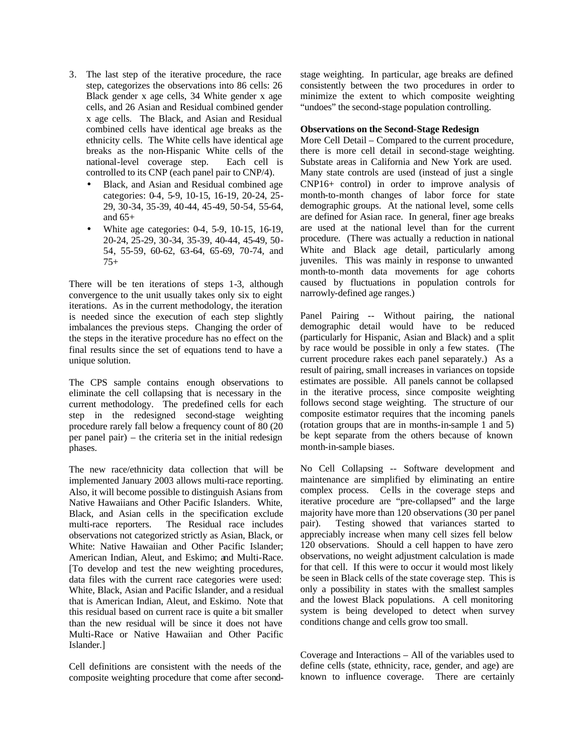- 3. The last step of the iterative procedure, the race step, categorizes the observations into 86 cells: 26 Black gender x age cells, 34 White gender x age cells, and 26 Asian and Residual combined gender x age cells. The Black, and Asian and Residual combined cells have identical age breaks as the ethnicity cells. The White cells have identical age breaks as the non-Hispanic White cells of the national-level coverage step. Each cell is controlled to its CNP (each panel pair to CNP/4).
	- Black, and Asian and Residual combined age categories: 0-4, 5-9, 10-15, 16-19, 20-24, 25- 29, 30-34, 35-39, 40-44, 45-49, 50-54, 55-64, and 65+
	- White age categories: 0-4, 5-9, 10-15, 16-19, 20-24, 25-29, 30-34, 35-39, 40-44, 45-49, 50- 54, 55-59, 60-62, 63-64, 65-69, 70-74, and 75+

There will be ten iterations of steps 1-3, although convergence to the unit usually takes only six to eight iterations. As in the current methodology, the iteration is needed since the execution of each step slightly imbalances the previous steps. Changing the order of the steps in the iterative procedure has no effect on the final results since the set of equations tend to have a unique solution.

The CPS sample contains enough observations to eliminate the cell collapsing that is necessary in the current methodology. The predefined cells for each step in the redesigned second-stage weighting procedure rarely fall below a frequency count of 80 (20 per panel pair) – the criteria set in the initial redesign phases.

The new race/ethnicity data collection that will be implemented January 2003 allows multi-race reporting. Also, it will become possible to distinguish Asians from Native Hawaiians and Other Pacific Islanders. White, Black, and Asian cells in the specification exclude multi-race reporters. The Residual race includes observations not categorized strictly as Asian, Black, or White: Native Hawaiian and Other Pacific Islander; American Indian, Aleut, and Eskimo; and Multi-Race. [To develop and test the new weighting procedures, data files with the current race categories were used: White, Black, Asian and Pacific Islander, and a residual that is American Indian, Aleut, and Eskimo. Note that this residual based on current race is quite a bit smaller than the new residual will be since it does not have Multi-Race or Native Hawaiian and Other Pacific Islander.]

Cell definitions are consistent with the needs of the composite weighting procedure that come after secondstage weighting. In particular, age breaks are defined consistently between the two procedures in order to minimize the extent to which composite weighting "undoes" the second-stage population controlling.

#### **Observations on the Second-Stage Redesign**

More Cell Detail – Compared to the current procedure, there is more cell detail in second-stage weighting. Substate areas in California and New York are used. Many state controls are used (instead of just a single CNP16+ control) in order to improve analysis of month-to-month changes of labor force for state demographic groups. At the national level, some cells are defined for Asian race. In general, finer age breaks are used at the national level than for the current procedure. (There was actually a reduction in national White and Black age detail, particularly among juveniles. This was mainly in response to unwanted month-to-month data movements for age cohorts caused by fluctuations in population controls for narrowly-defined age ranges.)

Panel Pairing -- Without pairing, the national demographic detail would have to be reduced (particularly for Hispanic, Asian and Black) and a split by race would be possible in only a few states. (The current procedure rakes each panel separately.) As a result of pairing, small increases in variances on topside estimates are possible. All panels cannot be collapsed in the iterative process, since composite weighting follows second stage weighting. The structure of our composite estimator requires that the incoming panels (rotation groups that are in months-in-sample 1 and 5) be kept separate from the others because of known month-in-sample biases.

No Cell Collapsing -- Software development and maintenance are simplified by eliminating an entire complex process. Cells in the coverage steps and iterative procedure are "pre-collapsed" and the large majority have more than 120 observations (30 per panel pair). Testing showed that variances started to appreciably increase when many cell sizes fell below 120 observations. Should a cell happen to have zero observations, no weight adjustment calculation is made for that cell. If this were to occur it would most likely be seen in Black cells of the state coverage step. This is only a possibility in states with the smallest samples and the lowest Black populations. A cell monitoring system is being developed to detect when survey conditions change and cells grow too small.

Coverage and Interactions – All of the variables used to define cells (state, ethnicity, race, gender, and age) are known to influence coverage. There are certainly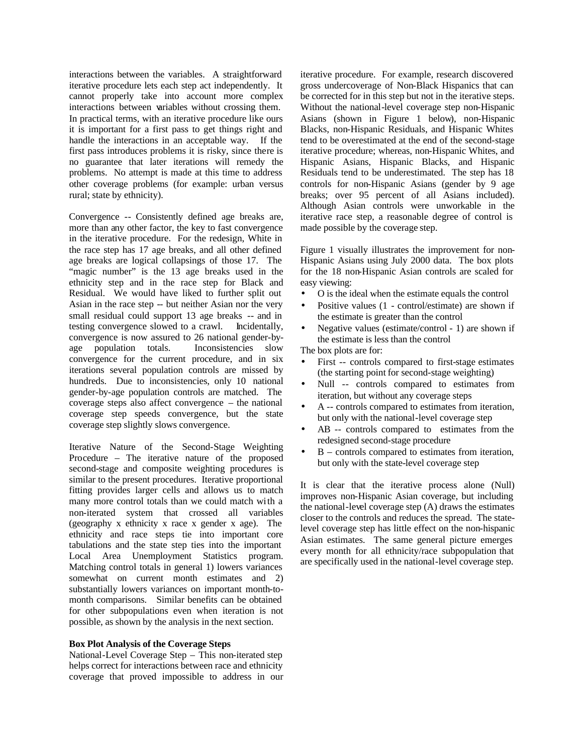interactions between the variables. A straightforward iterative procedure lets each step act independently. It cannot properly take into account more complex interactions between variables without crossing them. In practical terms, with an iterative procedure like ours it is important for a first pass to get things right and handle the interactions in an acceptable way. If the first pass introduces problems it is risky, since there is no guarantee that later iterations will remedy the problems. No attempt is made at this time to address other coverage problems (for example: urban versus rural; state by ethnicity).

Convergence -- Consistently defined age breaks are, more than any other factor, the key to fast convergence in the iterative procedure. For the redesign, White in the race step has 17 age breaks, and all other defined age breaks are logical collapsings of those 17. The "magic number" is the 13 age breaks used in the ethnicity step and in the race step for Black and Residual. We would have liked to further split out Asian in the race step -- but neither Asian nor the very small residual could support 13 age breaks -- and in testing convergence slowed to a crawl. Incidentally, convergence is now assured to 26 national gender-byage population totals. Inconsistencies slow convergence for the current procedure, and in six iterations several population controls are missed by hundreds. Due to inconsistencies, only 10 national gender-by-age population controls are matched. The coverage steps also affect convergence – the national coverage step speeds convergence, but the state coverage step slightly slows convergence.

Iterative Nature of the Second-Stage Weighting Procedure – The iterative nature of the proposed second-stage and composite weighting procedures is similar to the present procedures. Iterative proportional fitting provides larger cells and allows us to match many more control totals than we could match with a non-iterated system that crossed all variables (geography x ethnicity x race x gender x age). The ethnicity and race steps tie into important core tabulations and the state step ties into the important Local Area Unemployment Statistics program. Matching control totals in general 1) lowers variances somewhat on current month estimates and 2) substantially lowers variances on important month-tomonth comparisons. Similar benefits can be obtained for other subpopulations even when iteration is not possible, as shown by the analysis in the next section.

### **Box Plot Analysis of the Coverage Steps**

National-Level Coverage Step – This non-iterated step helps correct for interactions between race and ethnicity coverage that proved impossible to address in our

iterative procedure. For example, research discovered gross undercoverage of Non-Black Hispanics that can be corrected for in this step but not in the iterative steps. Without the national-level coverage step non-Hispanic Asians (shown in Figure 1 below), non-Hispanic Blacks, non-Hispanic Residuals, and Hispanic Whites tend to be overestimated at the end of the second-stage iterative procedure; whereas, non-Hispanic Whites, and Hispanic Asians, Hispanic Blacks, and Hispanic Residuals tend to be underestimated. The step has 18 controls for non-Hispanic Asians (gender by 9 age breaks; over 95 percent of all Asians included). Although Asian controls were unworkable in the iterative race step, a reasonable degree of control is made possible by the coverage step.

Figure 1 visually illustrates the improvement for non-Hispanic Asians using July 2000 data. The box plots for the 18 non-Hispanic Asian controls are scaled for easy viewing:

- O is the ideal when the estimate equals the control
- Positive values (1 control/estimate) are shown if the estimate is greater than the control
- Negative values (estimate/control 1) are shown if the estimate is less than the control

The box plots are for:

- First -- controls compared to first-stage estimates (the starting point for second-stage weighting)
- Null -- controls compared to estimates from iteration, but without any coverage steps
- A -- controls compared to estimates from iteration, but only with the national-level coverage step
- AB -- controls compared to estimates from the redesigned second-stage procedure
- $B$  controls compared to estimates from iteration, but only with the state-level coverage step

It is clear that the iterative process alone (Null) improves non-Hispanic Asian coverage, but including the national-level coverage step (A) draws the estimates closer to the controls and reduces the spread. The statelevel coverage step has little effect on the non-hispanic Asian estimates. The same general picture emerges every month for all ethnicity/race subpopulation that are specifically used in the national-level coverage step.